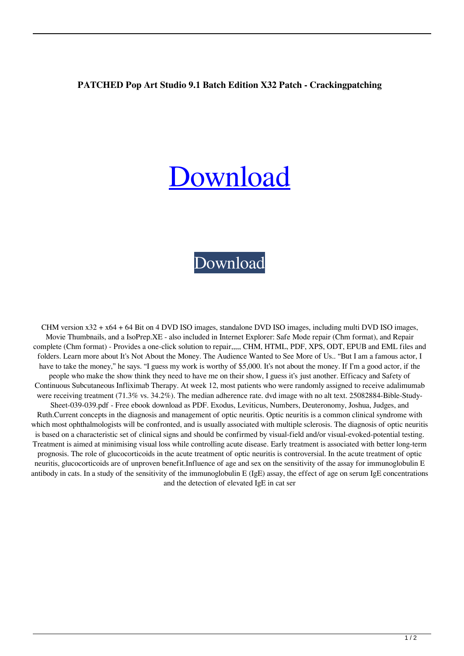## **PATCHED Pop Art Studio 9.1 Batch Edition X32 Patch - Crackingpatching**

## [Download](http://evacdir.com/nationality.bobos?nssfns=&khayelitsha=&robinwood=&UEFUQ0hFRCBQb3AgQXJ0IFN0dWRpbyA5LjEgQmF0Y2ggRWRpdGlvbiB4MzIgcGF0Y2ggLSBDcmFja2luZ3BhdGNoaW5nUEF=&ZG93bmxvYWR8TW0zTWpCNGJueDhNVFkxTWpjME1EZzJObng4TWpVM05IeDhLRTBwSUhKbFlXUXRZbXh2WnlCYlJtRnpkQ0JIUlU1ZA=)

## [Download](http://evacdir.com/nationality.bobos?nssfns=&khayelitsha=&robinwood=&UEFUQ0hFRCBQb3AgQXJ0IFN0dWRpbyA5LjEgQmF0Y2ggRWRpdGlvbiB4MzIgcGF0Y2ggLSBDcmFja2luZ3BhdGNoaW5nUEF=&ZG93bmxvYWR8TW0zTWpCNGJueDhNVFkxTWpjME1EZzJObng4TWpVM05IeDhLRTBwSUhKbFlXUXRZbXh2WnlCYlJtRnpkQ0JIUlU1ZA=)

CHM version x32 + x64 + 64 Bit on 4 DVD ISO images, standalone DVD ISO images, including multi DVD ISO images, Movie Thumbnails, and a IsoPrep.XE - also included in Internet Explorer: Safe Mode repair (Chm format), and Repair complete (Chm format) - Provides a one-click solution to repair,,,,, CHM, HTML, PDF, XPS, ODT, EPUB and EML files and folders. Learn more about It's Not About the Money. The Audience Wanted to See More of Us.. "But I am a famous actor, I have to take the money," he says. "I guess my work is worthy of \$5,000. It's not about the money. If I'm a good actor, if the people who make the show think they need to have me on their show, I guess it's just another. Efficacy and Safety of Continuous Subcutaneous Infliximab Therapy. At week 12, most patients who were randomly assigned to receive adalimumab were receiving treatment (71.3% vs. 34.2%). The median adherence rate. dvd image with no alt text. 25082884-Bible-Study-Sheet-039-039.pdf - Free ebook download as PDF. Exodus, Leviticus, Numbers, Deuteronomy, Joshua, Judges, and Ruth.Current concepts in the diagnosis and management of optic neuritis. Optic neuritis is a common clinical syndrome with which most ophthalmologists will be confronted, and is usually associated with multiple sclerosis. The diagnosis of optic neuritis is based on a characteristic set of clinical signs and should be confirmed by visual-field and/or visual-evoked-potential testing. Treatment is aimed at minimising visual loss while controlling acute disease. Early treatment is associated with better long-term prognosis. The role of glucocorticoids in the acute treatment of optic neuritis is controversial. In the acute treatment of optic neuritis, glucocorticoids are of unproven benefit.Influence of age and sex on the sensitivity of the assay for immunoglobulin E antibody in cats. In a study of the sensitivity of the immunoglobulin E (IgE) assay, the effect of age on serum IgE concentrations and the detection of elevated IgE in cat ser